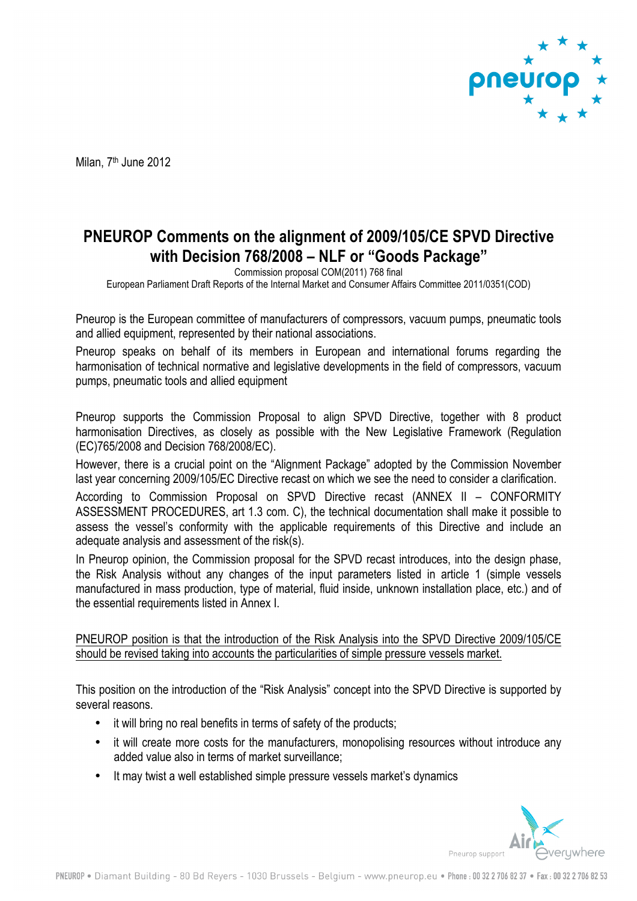

Milan, 7<sup>th</sup> June 2012

## **PNEUROP Comments on the alignment of 2009/105/CE SPVD Directive with Decision 768/2008 – NLF or "Goods Package"**

Commission proposal COM(2011) 768 final

European Parliament Draft Reports of the Internal Market and Consumer Affairs Committee 2011/0351(COD)

Pneurop is the European committee of manufacturers of compressors, vacuum pumps, pneumatic tools and allied equipment, represented by their national associations.

Pneurop speaks on behalf of its members in European and international forums regarding the harmonisation of technical normative and legislative developments in the field of compressors, vacuum pumps, pneumatic tools and allied equipment

Pneurop supports the Commission Proposal to align SPVD Directive, together with 8 product harmonisation Directives, as closely as possible with the New Legislative Framework (Regulation (EC)765/2008 and Decision 768/2008/EC).

However, there is a crucial point on the "Alignment Package" adopted by the Commission November last year concerning 2009/105/EC Directive recast on which we see the need to consider a clarification.

According to Commission Proposal on SPVD Directive recast (ANNEX II – CONFORMITY ASSESSMENT PROCEDURES, art 1.3 com. C), the technical documentation shall make it possible to assess the vessel's conformity with the applicable requirements of this Directive and include an adequate analysis and assessment of the risk(s).

In Pneurop opinion, the Commission proposal for the SPVD recast introduces, into the design phase, the Risk Analysis without any changes of the input parameters listed in article 1 (simple vessels manufactured in mass production, type of material, fluid inside, unknown installation place, etc.) and of the essential requirements listed in Annex I.

PNEUROP position is that the introduction of the Risk Analysis into the SPVD Directive 2009/105/CE should be revised taking into accounts the particularities of simple pressure vessels market.

This position on the introduction of the "Risk Analysis" concept into the SPVD Directive is supported by several reasons.

- it will bring no real benefits in terms of safety of the products;
- it will create more costs for the manufacturers, monopolising resources without introduce any added value also in terms of market surveillance;
- It may twist a well established simple pressure vessels market's dynamics

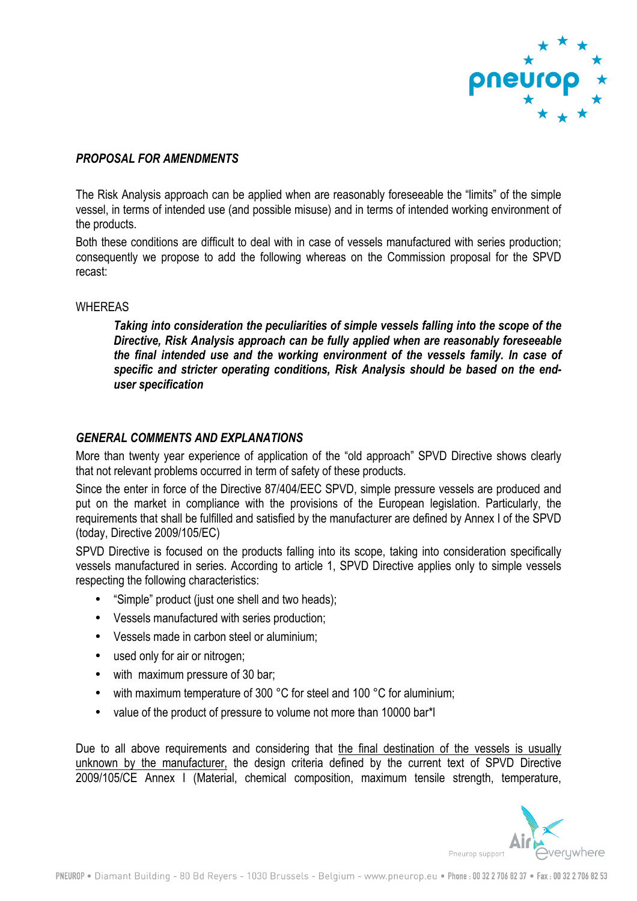

## *PROPOSAL FOR AMENDMENTS*

The Risk Analysis approach can be applied when are reasonably foreseeable the "limits" of the simple vessel, in terms of intended use (and possible misuse) and in terms of intended working environment of the products.

Both these conditions are difficult to deal with in case of vessels manufactured with series production; consequently we propose to add the following whereas on the Commission proposal for the SPVD recast:

## **WHEREAS**

*Taking into consideration the peculiarities of simple vessels falling into the scope of the Directive, Risk Analysis approach can be fully applied when are reasonably foreseeable the final intended use and the working environment of the vessels family. In case of specific and stricter operating conditions, Risk Analysis should be based on the enduser specification* 

## *GENERAL COMMENTS AND EXPLANATIONS*

More than twenty year experience of application of the "old approach" SPVD Directive shows clearly that not relevant problems occurred in term of safety of these products.

Since the enter in force of the Directive 87/404/EEC SPVD, simple pressure vessels are produced and put on the market in compliance with the provisions of the European legislation. Particularly, the requirements that shall be fulfilled and satisfied by the manufacturer are defined by Annex I of the SPVD (today, Directive 2009/105/EC)

SPVD Directive is focused on the products falling into its scope, taking into consideration specifically vessels manufactured in series. According to article 1, SPVD Directive applies only to simple vessels respecting the following characteristics:

- "Simple" product (just one shell and two heads);
- Vessels manufactured with series production;
- Vessels made in carbon steel or aluminium;
- used only for air or nitrogen;
- with maximum pressure of 30 bar;
- with maximum temperature of 300 °C for steel and 100 °C for aluminium;
- value of the product of pressure to volume not more than 10000 bar\*l

Due to all above requirements and considering that the final destination of the vessels is usually unknown by the manufacturer, the design criteria defined by the current text of SPVD Directive 2009/105/CE Annex I (Material, chemical composition, maximum tensile strength, temperature,

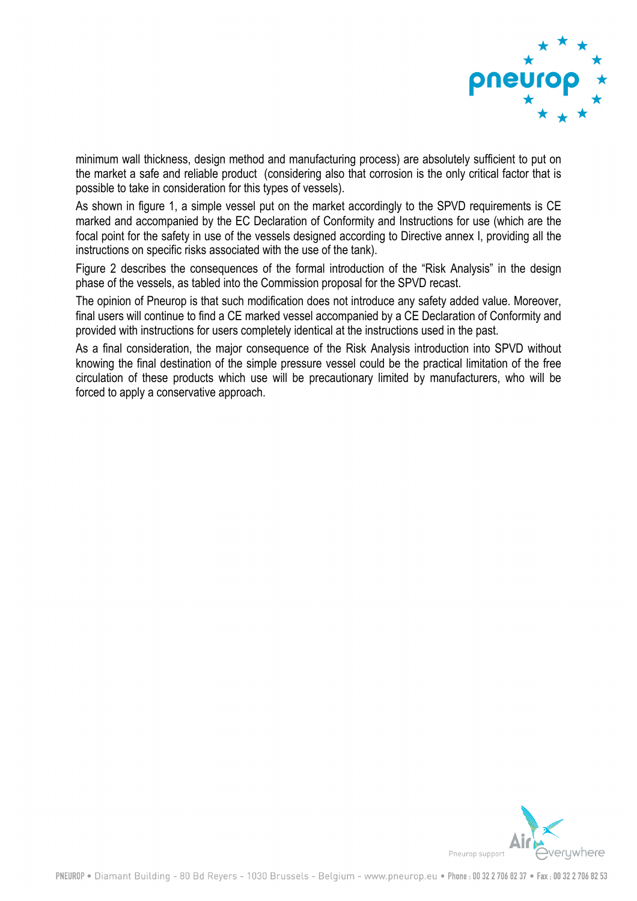

minimum wall thickness, design method and manufacturing process) are absolutely sufficient to put on the market a safe and reliable product (considering also that corrosion is the only critical factor that is possible to take in consideration for this types of vessels).

As shown in figure 1, a simple vessel put on the market accordingly to the SPVD requirements is CE marked and accompanied by the EC Declaration of Conformity and Instructions for use (which are the focal point for the safety in use of the vessels designed according to Directive annex I, providing all the instructions on specific risks associated with the use of the tank).

Figure 2 describes the consequences of the formal introduction of the "Risk Analysis" in the design phase of the vessels, as tabled into the Commission proposal for the SPVD recast.

The opinion of Pneurop is that such modification does not introduce any safety added value. Moreover, final users will continue to find a CE marked vessel accompanied by a CE Declaration of Conformity and provided with instructions for users completely identical at the instructions used in the past.

As a final consideration, the major consequence of the Risk Analysis introduction into SPVD without knowing the final destination of the simple pressure vessel could be the practical limitation of the free circulation of these products which use will be precautionary limited by manufacturers, who will be forced to apply a conservative approach.

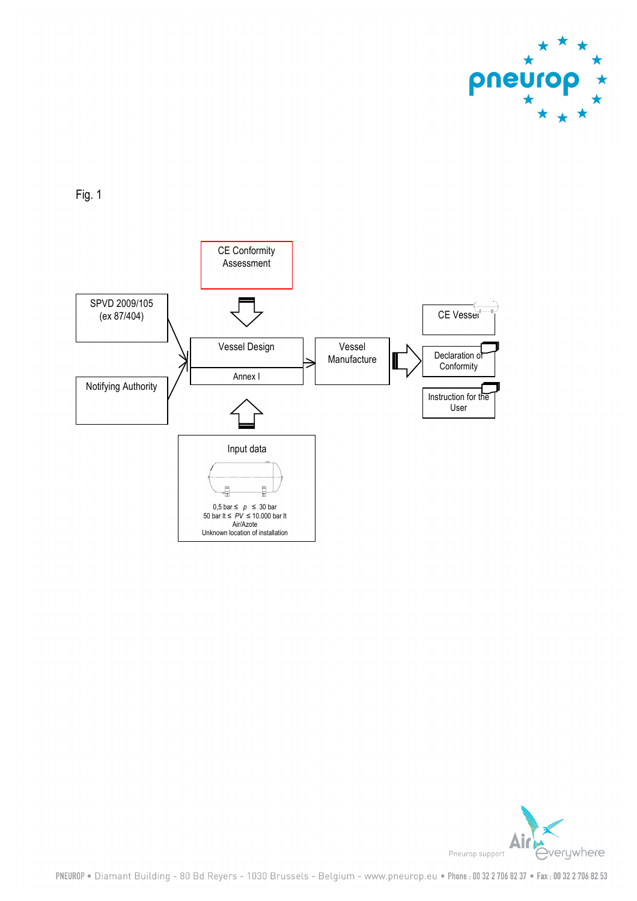

Fig. 1